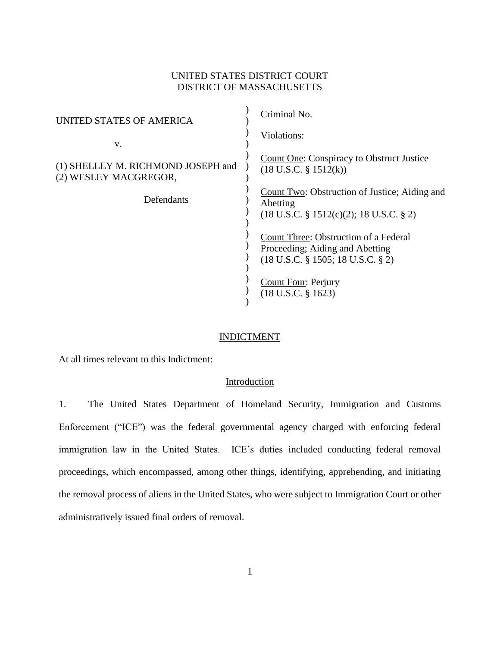### UNITED STATES DISTRICT COURT DISTRICT OF MASSACHUSETTS

 $\lambda$ 

| UNITED STATES OF AMERICA                                    | Criminal No.                                                                                                               |
|-------------------------------------------------------------|----------------------------------------------------------------------------------------------------------------------------|
| V.                                                          | Violations:                                                                                                                |
| (1) SHELLEY M. RICHMOND JOSEPH and<br>(2) WESLEY MACGREGOR, | Count One: Conspiracy to Obstruct Justice<br>$(18 \text{ U.S.C. } § 1512(k))$                                              |
| Defendants                                                  | Count Two: Obstruction of Justice; Aiding and<br>Abetting<br>$(18 \text{ U.S.C. } \S 1512(c)(2); 18 \text{ U.S.C. } \S 2)$ |
|                                                             | Count Three: Obstruction of a Federal<br>Proceeding; Aiding and Abetting<br>$(18$ U.S.C. § 1505; 18 U.S.C. § 2)            |
|                                                             | <b>Count Four: Perjury</b><br>$(18$ U.S.C. § 1623)                                                                         |

### INDICTMENT

At all times relevant to this Indictment:

### Introduction

1. The United States Department of Homeland Security, Immigration and Customs Enforcement ("ICE") was the federal governmental agency charged with enforcing federal immigration law in the United States. ICE's duties included conducting federal removal proceedings, which encompassed, among other things, identifying, apprehending, and initiating the removal process of aliens in the United States, who were subject to Immigration Court or other administratively issued final orders of removal.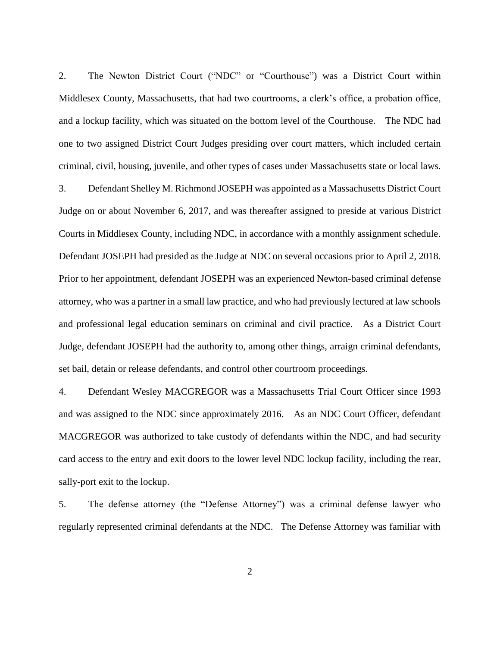2. The Newton District Court ("NDC" or "Courthouse") was a District Court within Middlesex County, Massachusetts, that had two courtrooms, a clerk's office, a probation office, and a lockup facility, which was situated on the bottom level of the Courthouse. The NDC had one to two assigned District Court Judges presiding over court matters, which included certain criminal, civil, housing, juvenile, and other types of cases under Massachusetts state or local laws.

3. Defendant Shelley M. Richmond JOSEPH was appointed as a Massachusetts District Court Judge on or about November 6, 2017, and was thereafter assigned to preside at various District Courts in Middlesex County, including NDC, in accordance with a monthly assignment schedule. Defendant JOSEPH had presided as the Judge at NDC on several occasions prior to April 2, 2018. Prior to her appointment, defendant JOSEPH was an experienced Newton-based criminal defense attorney, who was a partner in a small law practice, and who had previously lectured at law schools and professional legal education seminars on criminal and civil practice. As a District Court Judge, defendant JOSEPH had the authority to, among other things, arraign criminal defendants, set bail, detain or release defendants, and control other courtroom proceedings.

4. Defendant Wesley MACGREGOR was a Massachusetts Trial Court Officer since 1993 and was assigned to the NDC since approximately 2016. As an NDC Court Officer, defendant MACGREGOR was authorized to take custody of defendants within the NDC, and had security card access to the entry and exit doors to the lower level NDC lockup facility, including the rear, sally-port exit to the lockup.

5. The defense attorney (the "Defense Attorney") was a criminal defense lawyer who regularly represented criminal defendants at the NDC. The Defense Attorney was familiar with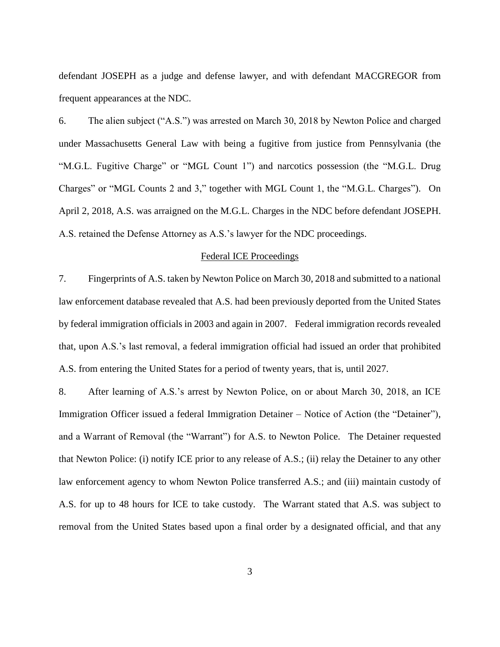defendant JOSEPH as a judge and defense lawyer, and with defendant MACGREGOR from frequent appearances at the NDC.

6. The alien subject ("A.S.") was arrested on March 30, 2018 by Newton Police and charged under Massachusetts General Law with being a fugitive from justice from Pennsylvania (the "M.G.L. Fugitive Charge" or "MGL Count 1") and narcotics possession (the "M.G.L. Drug Charges" or "MGL Counts 2 and 3," together with MGL Count 1, the "M.G.L. Charges"). On April 2, 2018, A.S. was arraigned on the M.G.L. Charges in the NDC before defendant JOSEPH. A.S. retained the Defense Attorney as A.S.'s lawyer for the NDC proceedings.

#### Federal ICE Proceedings

7. Fingerprints of A.S. taken by Newton Police on March 30, 2018 and submitted to a national law enforcement database revealed that A.S. had been previously deported from the United States by federal immigration officials in 2003 and again in 2007. Federal immigration records revealed that, upon A.S.'s last removal, a federal immigration official had issued an order that prohibited A.S. from entering the United States for a period of twenty years, that is, until 2027.

8. After learning of A.S.'s arrest by Newton Police, on or about March 30, 2018, an ICE Immigration Officer issued a federal Immigration Detainer – Notice of Action (the "Detainer"), and a Warrant of Removal (the "Warrant") for A.S. to Newton Police. The Detainer requested that Newton Police: (i) notify ICE prior to any release of A.S.; (ii) relay the Detainer to any other law enforcement agency to whom Newton Police transferred A.S.; and (iii) maintain custody of A.S. for up to 48 hours for ICE to take custody. The Warrant stated that A.S. was subject to removal from the United States based upon a final order by a designated official, and that any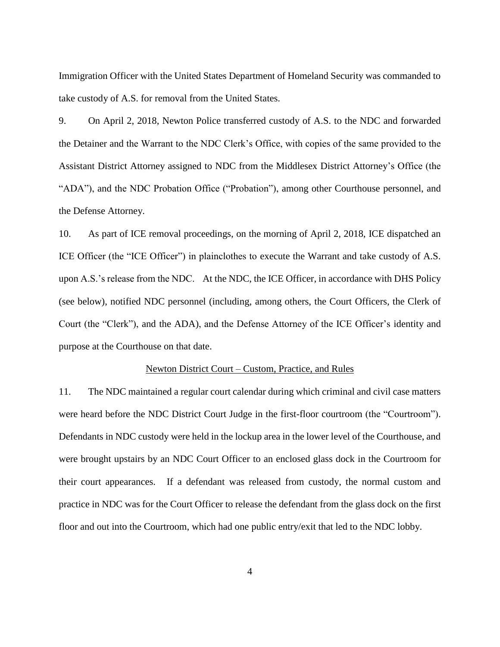Immigration Officer with the United States Department of Homeland Security was commanded to take custody of A.S. for removal from the United States.

9. On April 2, 2018, Newton Police transferred custody of A.S. to the NDC and forwarded the Detainer and the Warrant to the NDC Clerk's Office, with copies of the same provided to the Assistant District Attorney assigned to NDC from the Middlesex District Attorney's Office (the "ADA"), and the NDC Probation Office ("Probation"), among other Courthouse personnel, and the Defense Attorney.

10. As part of ICE removal proceedings, on the morning of April 2, 2018, ICE dispatched an ICE Officer (the "ICE Officer") in plainclothes to execute the Warrant and take custody of A.S. upon A.S.'s release from the NDC. At the NDC, the ICE Officer, in accordance with DHS Policy (see below), notified NDC personnel (including, among others, the Court Officers, the Clerk of Court (the "Clerk"), and the ADA), and the Defense Attorney of the ICE Officer's identity and purpose at the Courthouse on that date.

#### Newton District Court – Custom, Practice, and Rules

11. The NDC maintained a regular court calendar during which criminal and civil case matters were heard before the NDC District Court Judge in the first-floor courtroom (the "Courtroom"). Defendants in NDC custody were held in the lockup area in the lower level of the Courthouse, and were brought upstairs by an NDC Court Officer to an enclosed glass dock in the Courtroom for their court appearances. If a defendant was released from custody, the normal custom and practice in NDC was for the Court Officer to release the defendant from the glass dock on the first floor and out into the Courtroom, which had one public entry/exit that led to the NDC lobby.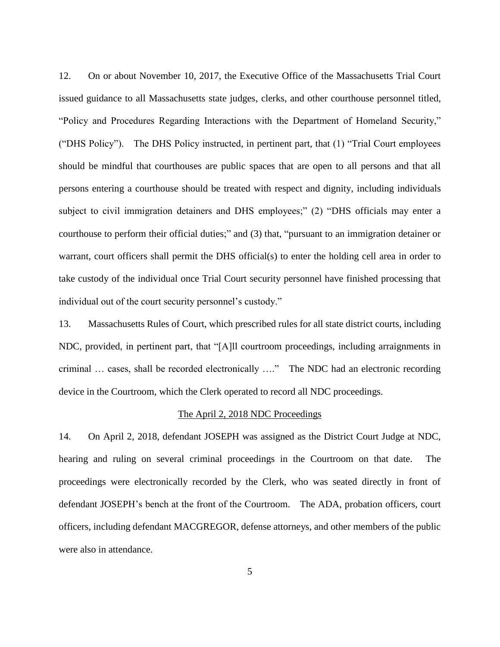12. On or about November 10, 2017, the Executive Office of the Massachusetts Trial Court issued guidance to all Massachusetts state judges, clerks, and other courthouse personnel titled, "Policy and Procedures Regarding Interactions with the Department of Homeland Security," ("DHS Policy"). The DHS Policy instructed, in pertinent part, that (1) "Trial Court employees should be mindful that courthouses are public spaces that are open to all persons and that all persons entering a courthouse should be treated with respect and dignity, including individuals subject to civil immigration detainers and DHS employees;" (2) "DHS officials may enter a courthouse to perform their official duties;" and (3) that, "pursuant to an immigration detainer or warrant, court officers shall permit the DHS official(s) to enter the holding cell area in order to take custody of the individual once Trial Court security personnel have finished processing that individual out of the court security personnel's custody."

13. Massachusetts Rules of Court, which prescribed rules for all state district courts, including NDC, provided, in pertinent part, that "[A]ll courtroom proceedings, including arraignments in criminal … cases, shall be recorded electronically …." The NDC had an electronic recording device in the Courtroom, which the Clerk operated to record all NDC proceedings.

#### The April 2, 2018 NDC Proceedings

14. On April 2, 2018, defendant JOSEPH was assigned as the District Court Judge at NDC, hearing and ruling on several criminal proceedings in the Courtroom on that date. The proceedings were electronically recorded by the Clerk, who was seated directly in front of defendant JOSEPH's bench at the front of the Courtroom. The ADA, probation officers, court officers, including defendant MACGREGOR, defense attorneys, and other members of the public were also in attendance.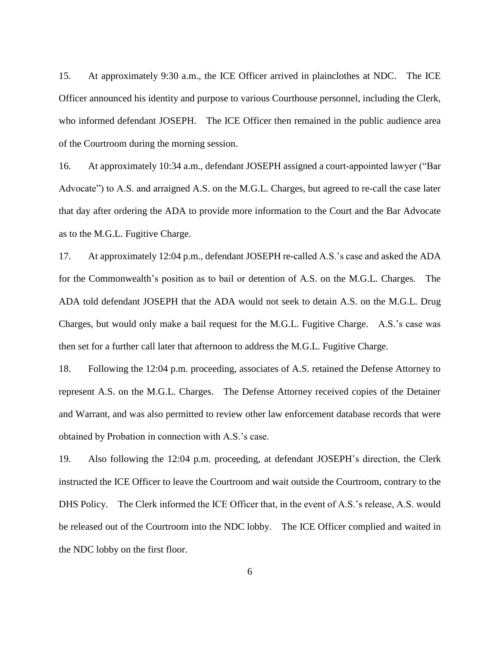15. At approximately 9:30 a.m., the ICE Officer arrived in plainclothes at NDC. The ICE Officer announced his identity and purpose to various Courthouse personnel, including the Clerk, who informed defendant JOSEPH. The ICE Officer then remained in the public audience area of the Courtroom during the morning session.

16. At approximately 10:34 a.m., defendant JOSEPH assigned a court-appointed lawyer ("Bar Advocate") to A.S. and arraigned A.S. on the M.G.L. Charges, but agreed to re-call the case later that day after ordering the ADA to provide more information to the Court and the Bar Advocate as to the M.G.L. Fugitive Charge.

17. At approximately 12:04 p.m., defendant JOSEPH re-called A.S.'s case and asked the ADA for the Commonwealth's position as to bail or detention of A.S. on the M.G.L. Charges. The ADA told defendant JOSEPH that the ADA would not seek to detain A.S. on the M.G.L. Drug Charges, but would only make a bail request for the M.G.L. Fugitive Charge. A.S.'s case was then set for a further call later that afternoon to address the M.G.L. Fugitive Charge.

18. Following the 12:04 p.m. proceeding, associates of A.S. retained the Defense Attorney to represent A.S. on the M.G.L. Charges. The Defense Attorney received copies of the Detainer and Warrant, and was also permitted to review other law enforcement database records that were obtained by Probation in connection with A.S.'s case.

19. Also following the 12:04 p.m. proceeding, at defendant JOSEPH's direction, the Clerk instructed the ICE Officer to leave the Courtroom and wait outside the Courtroom, contrary to the DHS Policy. The Clerk informed the ICE Officer that, in the event of A.S.'s release, A.S. would be released out of the Courtroom into the NDC lobby. The ICE Officer complied and waited in the NDC lobby on the first floor.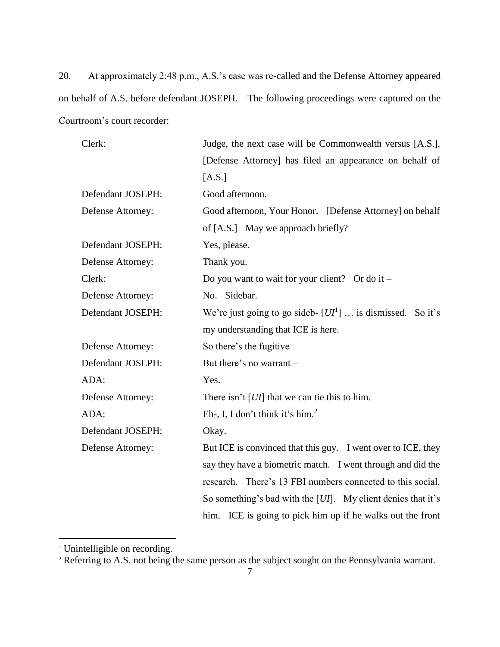20. At approximately 2:48 p.m., A.S.'s case was re-called and the Defense Attorney appeared on behalf of A.S. before defendant JOSEPH. The following proceedings were captured on the Courtroom's court recorder:

| Clerk:            | Judge, the next case will be Commonwealth versus [A.S.].        |  |
|-------------------|-----------------------------------------------------------------|--|
|                   | [Defense Attorney] has filed an appearance on behalf of         |  |
|                   | [A.S.]                                                          |  |
| Defendant JOSEPH: | Good afternoon.                                                 |  |
| Defense Attorney: | Good afternoon, Your Honor. [Defense Attorney] on behalf        |  |
|                   | of [A.S.] May we approach briefly?                              |  |
| Defendant JOSEPH: | Yes, please.                                                    |  |
| Defense Attorney: | Thank you.                                                      |  |
| Clerk:            | Do you want to wait for your client? Or do it $-$               |  |
| Defense Attorney: | No. Sidebar.                                                    |  |
| Defendant JOSEPH: | We're just going to go sideb- $[UI1]$ is dismissed. So it's     |  |
|                   | my understanding that ICE is here.                              |  |
| Defense Attorney: | So there's the fugitive $-$                                     |  |
| Defendant JOSEPH: | But there's no warrant -                                        |  |
| ADA:              | Yes.                                                            |  |
| Defense Attorney: | There isn't $[UI]$ that we can tie this to him.                 |  |
| ADA:              | Eh-, I, I don't think it's him. <sup>2</sup>                    |  |
| Defendant JOSEPH: | Okay.                                                           |  |
| Defense Attorney: | But ICE is convinced that this guy. I went over to ICE, they    |  |
|                   | say they have a biometric match. I went through and did the     |  |
|                   | research. There's 13 FBI numbers connected to this social.      |  |
|                   | So something's bad with the $[UI]$ . My client denies that it's |  |
|                   | him. ICE is going to pick him up if he walks out the front      |  |

<sup>&</sup>lt;sup>1</sup> Unintelligible on recording.

 $\overline{a}$ 

<sup>&</sup>lt;sup>2</sup> Referring to A.S. not being the same person as the subject sought on the Pennsylvania warrant.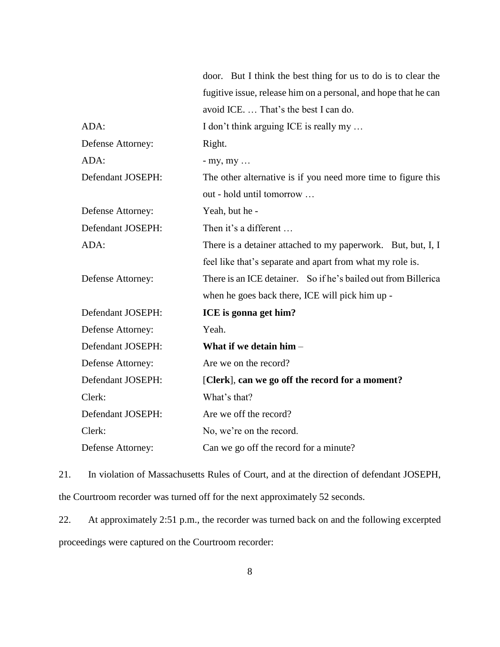|                   | door. But I think the best thing for us to do is to clear the   |  |
|-------------------|-----------------------------------------------------------------|--|
|                   | fugitive issue, release him on a personal, and hope that he can |  |
|                   | avoid ICE.  That's the best I can do.                           |  |
| ADA:              | I don't think arguing ICE is really my                          |  |
| Defense Attorney: | Right.                                                          |  |
| ADA:              | $-$ my, my $\ldots$                                             |  |
| Defendant JOSEPH: | The other alternative is if you need more time to figure this   |  |
|                   | out - hold until tomorrow                                       |  |
| Defense Attorney: | Yeah, but he -                                                  |  |
| Defendant JOSEPH: | Then it's a different                                           |  |
| ADA:              | There is a detainer attached to my paperwork. But, but, I, I    |  |
|                   | feel like that's separate and apart from what my role is.       |  |
| Defense Attorney: | There is an ICE detainer. So if he's bailed out from Billerica  |  |
|                   | when he goes back there, ICE will pick him up -                 |  |
| Defendant JOSEPH: | ICE is gonna get him?                                           |  |
| Defense Attorney: | Yeah.                                                           |  |
| Defendant JOSEPH: | What if we detain him -                                         |  |
| Defense Attorney: | Are we on the record?                                           |  |
| Defendant JOSEPH: | [Clerk], can we go off the record for a moment?                 |  |
| Clerk:            | What's that?                                                    |  |
| Defendant JOSEPH: | Are we off the record?                                          |  |
| Clerk:            | No, we're on the record.                                        |  |
| Defense Attorney: | Can we go off the record for a minute?                          |  |

21. In violation of Massachusetts Rules of Court, and at the direction of defendant JOSEPH, the Courtroom recorder was turned off for the next approximately 52 seconds.

22. At approximately 2:51 p.m., the recorder was turned back on and the following excerpted proceedings were captured on the Courtroom recorder: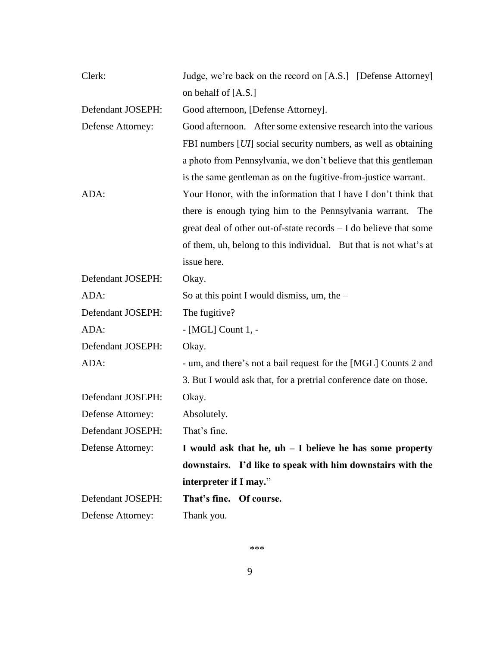| Clerk:            | Judge, we're back on the record on [A.S.] [Defense Attorney]            |  |
|-------------------|-------------------------------------------------------------------------|--|
|                   | on behalf of $[A.S.]$                                                   |  |
| Defendant JOSEPH: | Good afternoon, [Defense Attorney].                                     |  |
| Defense Attorney: | Good afternoon. After some extensive research into the various          |  |
|                   | FBI numbers [ <i>UI</i> ] social security numbers, as well as obtaining |  |
|                   | a photo from Pennsylvania, we don't believe that this gentleman         |  |
|                   | is the same gentleman as on the fugitive-from-justice warrant.          |  |
| ADA:              | Your Honor, with the information that I have I don't think that         |  |
|                   | there is enough tying him to the Pennsylvania warrant. The              |  |
|                   | great deal of other out-of-state records $- I$ do believe that some     |  |
|                   | of them, uh, belong to this individual. But that is not what's at       |  |
|                   | issue here.                                                             |  |
| Defendant JOSEPH: | Okay.                                                                   |  |
| ADA:              | So at this point I would dismiss, um, the $-$                           |  |
| Defendant JOSEPH: | The fugitive?                                                           |  |
| ADA:              | - [MGL] Count 1, -                                                      |  |
| Defendant JOSEPH: | Okay.                                                                   |  |
| ADA:              | - um, and there's not a bail request for the [MGL] Counts 2 and         |  |
|                   | 3. But I would ask that, for a pretrial conference date on those.       |  |
| Defendant JOSEPH: | Okay.                                                                   |  |
| Defense Attorney: | Absolutely.                                                             |  |
| Defendant JOSEPH: | That's fine.                                                            |  |
| Defense Attorney: | I would ask that he, $uh - I$ believe he has some property              |  |
|                   | downstairs. I'd like to speak with him downstairs with the              |  |
|                   | interpreter if I may."                                                  |  |
| Defendant JOSEPH: | That's fine.<br>Of course.                                              |  |
| Defense Attorney: | Thank you.                                                              |  |

\*\*\*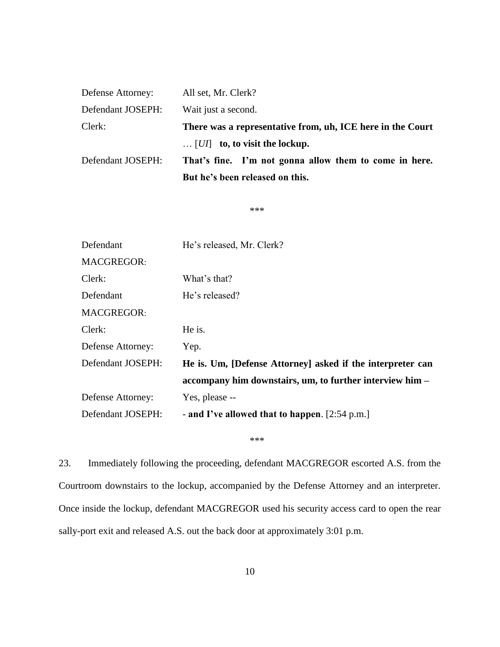|                   | But he's been released on this.                            |  |
|-------------------|------------------------------------------------------------|--|
| Defendant JOSEPH: | That's fine. I'm not gonna allow them to come in here.     |  |
|                   | $\ldots$ [ <i>UI</i> ] to, to visit the lockup.            |  |
| Clerk:            | There was a representative from, uh, ICE here in the Court |  |
| Defendant JOSEPH: | Wait just a second.                                        |  |
| Defense Attorney: | All set, Mr. Clerk?                                        |  |

\*\*\*

| Defendant         | He's released, Mr. Clerk?                                  |
|-------------------|------------------------------------------------------------|
| <b>MACGREGOR:</b> |                                                            |
| Clerk:            | What's that?                                               |
| Defendant         | He's released?                                             |
| <b>MACGREGOR:</b> |                                                            |
| Clerk:            | He is.                                                     |
| Defense Attorney: | Yep.                                                       |
| Defendant JOSEPH: | He is. Um, [Defense Attorney] asked if the interpreter can |
|                   | accompany him downstairs, um, to further interview him –   |
| Defense Attorney: | Yes, please --                                             |
| Defendant JOSEPH: | - and I've allowed that to happen. $[2:54 \text{ p.m.}]$   |

\*\*\*

23. Immediately following the proceeding, defendant MACGREGOR escorted A.S. from the Courtroom downstairs to the lockup, accompanied by the Defense Attorney and an interpreter. Once inside the lockup, defendant MACGREGOR used his security access card to open the rear sally-port exit and released A.S. out the back door at approximately 3:01 p.m.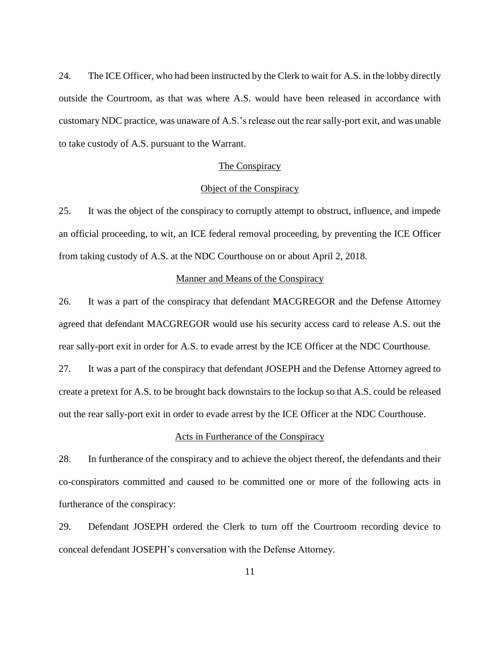24. The ICE Officer, who had been instructed by the Clerk to wait for A.S. in the lobby directly outside the Courtroom, as that was where A.S. would have been released in accordance with customary NDC practice, was unaware of A.S.'s release out the rear sally-port exit, and was unable to take custody of A.S. pursuant to the Warrant.

#### The Conspiracy

### Object of the Conspiracy

25. It was the object of the conspiracy to corruptly attempt to obstruct, influence, and impede an official proceeding, to wit, an ICE federal removal proceeding, by preventing the ICE Officer from taking custody of A.S. at the NDC Courthouse on or about April 2, 2018.

#### Manner and Means of the Conspiracy

26. It was a part of the conspiracy that defendant MACGREGOR and the Defense Attorney agreed that defendant MACGREGOR would use his security access card to release A.S. out the rear sally-port exit in order for A.S. to evade arrest by the ICE Officer at the NDC Courthouse.

27. It was a part of the conspiracy that defendant JOSEPH and the Defense Attorney agreed to create a pretext for A.S. to be brought back downstairs to the lockup so that A.S. could be released out the rear sally-port exit in order to evade arrest by the ICE Officer at the NDC Courthouse.

### Acts in Furtherance of the Conspiracy

28. In furtherance of the conspiracy and to achieve the object thereof, the defendants and their co-conspirators committed and caused to be committed one or more of the following acts in furtherance of the conspiracy:

29. Defendant JOSEPH ordered the Clerk to turn off the Courtroom recording device to conceal defendant JOSEPH's conversation with the Defense Attorney.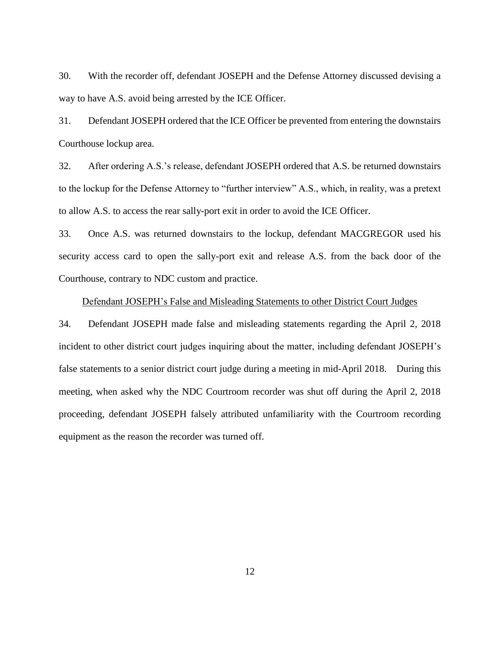30. With the recorder off, defendant JOSEPH and the Defense Attorney discussed devising a way to have A.S. avoid being arrested by the ICE Officer.

31. Defendant JOSEPH ordered that the ICE Officer be prevented from entering the downstairs Courthouse lockup area.

32. After ordering A.S.'s release, defendant JOSEPH ordered that A.S. be returned downstairs to the lockup for the Defense Attorney to "further interview" A.S., which, in reality, was a pretext to allow A.S. to access the rear sally-port exit in order to avoid the ICE Officer.

33. Once A.S. was returned downstairs to the lockup, defendant MACGREGOR used his security access card to open the sally-port exit and release A.S. from the back door of the Courthouse, contrary to NDC custom and practice.

### Defendant JOSEPH's False and Misleading Statements to other District Court Judges

34. Defendant JOSEPH made false and misleading statements regarding the April 2, 2018 incident to other district court judges inquiring about the matter, including defendant JOSEPH's false statements to a senior district court judge during a meeting in mid-April 2018. During this meeting, when asked why the NDC Courtroom recorder was shut off during the April 2, 2018 proceeding, defendant JOSEPH falsely attributed unfamiliarity with the Courtroom recording equipment as the reason the recorder was turned off.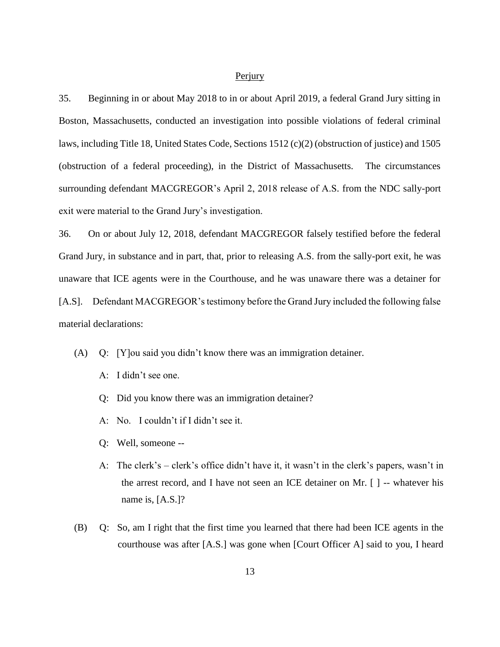#### **Perjury**

35. Beginning in or about May 2018 to in or about April 2019, a federal Grand Jury sitting in Boston, Massachusetts, conducted an investigation into possible violations of federal criminal laws, including Title 18, United States Code, Sections 1512 (c)(2) (obstruction of justice) and 1505 (obstruction of a federal proceeding), in the District of Massachusetts. The circumstances surrounding defendant MACGREGOR's April 2, 2018 release of A.S. from the NDC sally-port exit were material to the Grand Jury's investigation.

36. On or about July 12, 2018, defendant MACGREGOR falsely testified before the federal Grand Jury, in substance and in part, that, prior to releasing A.S. from the sally-port exit, he was unaware that ICE agents were in the Courthouse, and he was unaware there was a detainer for [A.S]. Defendant MACGREGOR's testimony before the Grand Jury included the following false material declarations:

- (A) Q: [Y]ou said you didn't know there was an immigration detainer.
	- A: I didn't see one.
	- Q: Did you know there was an immigration detainer?
	- A: No. I couldn't if I didn't see it.
	- Q: Well, someone --
	- A: The clerk's clerk's office didn't have it, it wasn't in the clerk's papers, wasn't in the arrest record, and I have not seen an ICE detainer on Mr. [ ] -- whatever his name is, [A.S.]?
- (B) Q: So, am I right that the first time you learned that there had been ICE agents in the courthouse was after [A.S.] was gone when [Court Officer A] said to you, I heard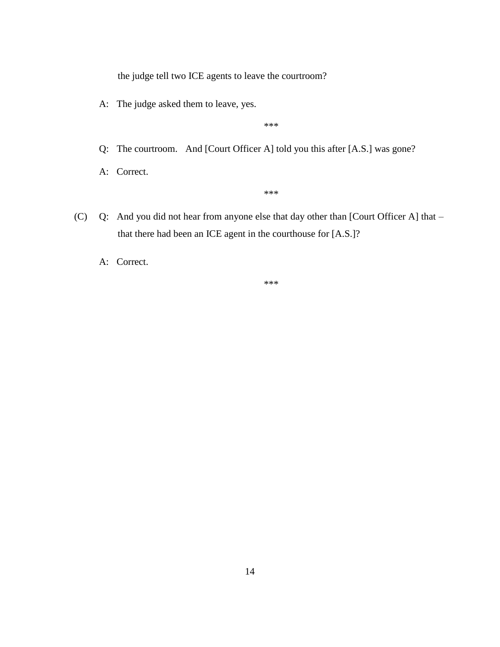the judge tell two ICE agents to leave the courtroom?

A: The judge asked them to leave, yes.

\*\*\*

Q: The courtroom. And [Court Officer A] told you this after [A.S.] was gone?

A: Correct.

\*\*\*

- (C) Q: And you did not hear from anyone else that day other than [Court Officer A] that that there had been an ICE agent in the courthouse for [A.S.]?
	- A: Correct.

\*\*\*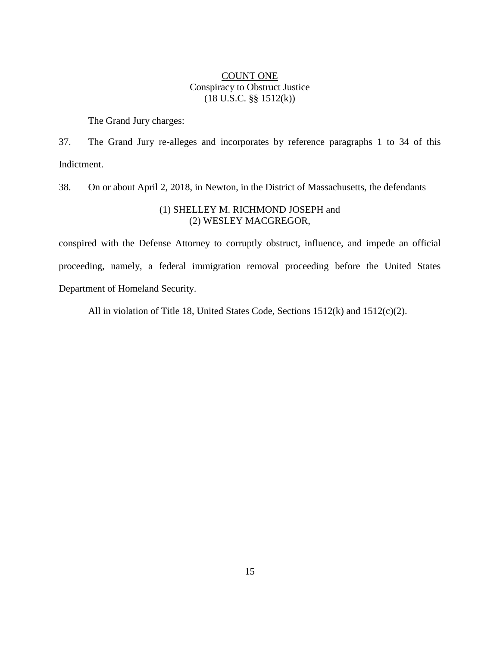## COUNT ONE Conspiracy to Obstruct Justice (18 U.S.C. §§ 1512(k))

The Grand Jury charges:

37. The Grand Jury re-alleges and incorporates by reference paragraphs 1 to 34 of this Indictment.

38. On or about April 2, 2018, in Newton, in the District of Massachusetts, the defendants

### (1) SHELLEY M. RICHMOND JOSEPH and (2) WESLEY MACGREGOR,

conspired with the Defense Attorney to corruptly obstruct, influence, and impede an official proceeding, namely, a federal immigration removal proceeding before the United States Department of Homeland Security.

All in violation of Title 18, United States Code, Sections 1512(k) and 1512(c)(2).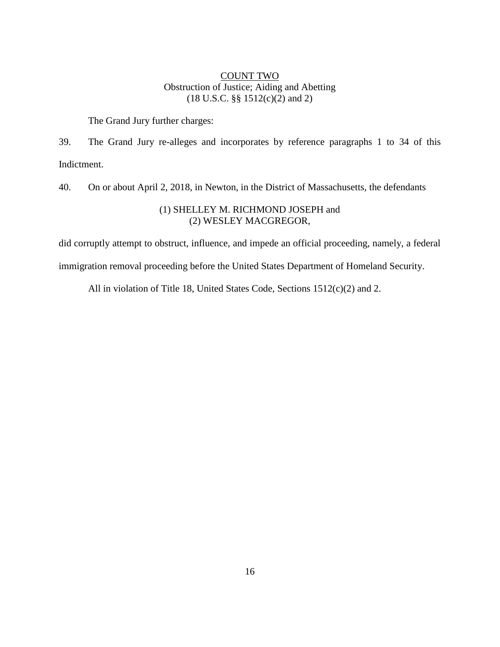## COUNT TWO Obstruction of Justice; Aiding and Abetting (18 U.S.C. §§ 1512(c)(2) and 2)

The Grand Jury further charges:

39. The Grand Jury re-alleges and incorporates by reference paragraphs 1 to 34 of this Indictment.

40. On or about April 2, 2018, in Newton, in the District of Massachusetts, the defendants

## (1) SHELLEY M. RICHMOND JOSEPH and (2) WESLEY MACGREGOR,

did corruptly attempt to obstruct, influence, and impede an official proceeding, namely, a federal immigration removal proceeding before the United States Department of Homeland Security.

All in violation of Title 18, United States Code, Sections 1512(c)(2) and 2.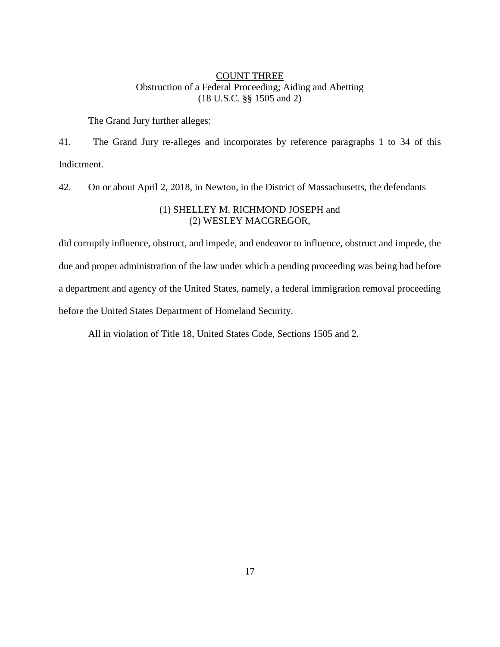## COUNT THREE Obstruction of a Federal Proceeding; Aiding and Abetting (18 U.S.C. §§ 1505 and 2)

The Grand Jury further alleges:

41. The Grand Jury re-alleges and incorporates by reference paragraphs 1 to 34 of this Indictment.

42. On or about April 2, 2018, in Newton, in the District of Massachusetts, the defendants

## (1) SHELLEY M. RICHMOND JOSEPH and (2) WESLEY MACGREGOR,

did corruptly influence, obstruct, and impede, and endeavor to influence, obstruct and impede, the due and proper administration of the law under which a pending proceeding was being had before a department and agency of the United States, namely, a federal immigration removal proceeding before the United States Department of Homeland Security.

All in violation of Title 18, United States Code, Sections 1505 and 2.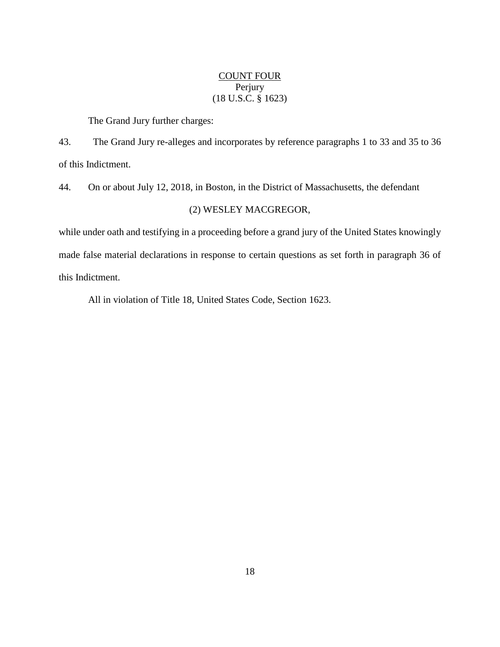## COUNT FOUR Perjury (18 U.S.C. § 1623)

The Grand Jury further charges:

43. The Grand Jury re-alleges and incorporates by reference paragraphs 1 to 33 and 35 to 36 of this Indictment.

44. On or about July 12, 2018, in Boston, in the District of Massachusetts, the defendant

### (2) WESLEY MACGREGOR,

while under oath and testifying in a proceeding before a grand jury of the United States knowingly made false material declarations in response to certain questions as set forth in paragraph 36 of this Indictment.

All in violation of Title 18, United States Code, Section 1623.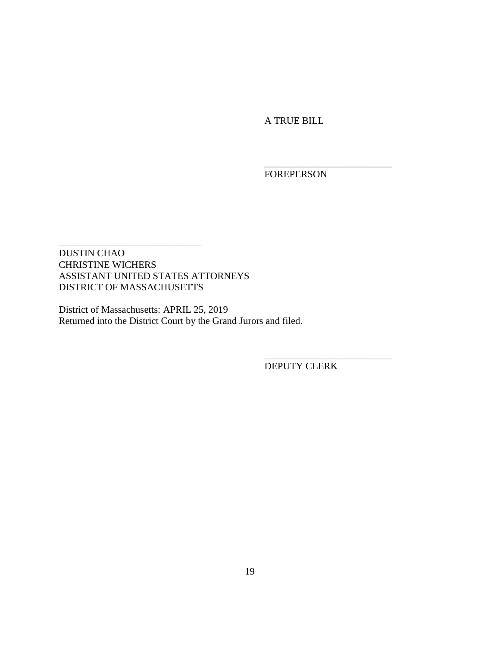A TRUE BILL

FOREPERSON

\_\_\_\_\_\_\_\_\_\_\_\_\_\_\_\_\_\_\_\_\_\_\_\_\_\_

DUSTIN CHAO CHRISTINE WICHERS ASSISTANT UNITED STATES ATTORNEYS DISTRICT OF MASSACHUSETTS

\_\_\_\_\_\_\_\_\_\_\_\_\_\_\_\_\_\_\_\_\_\_\_\_\_\_\_\_\_

District of Massachusetts: APRIL 25, 2019 Returned into the District Court by the Grand Jurors and filed.

DEPUTY CLERK

\_\_\_\_\_\_\_\_\_\_\_\_\_\_\_\_\_\_\_\_\_\_\_\_\_\_